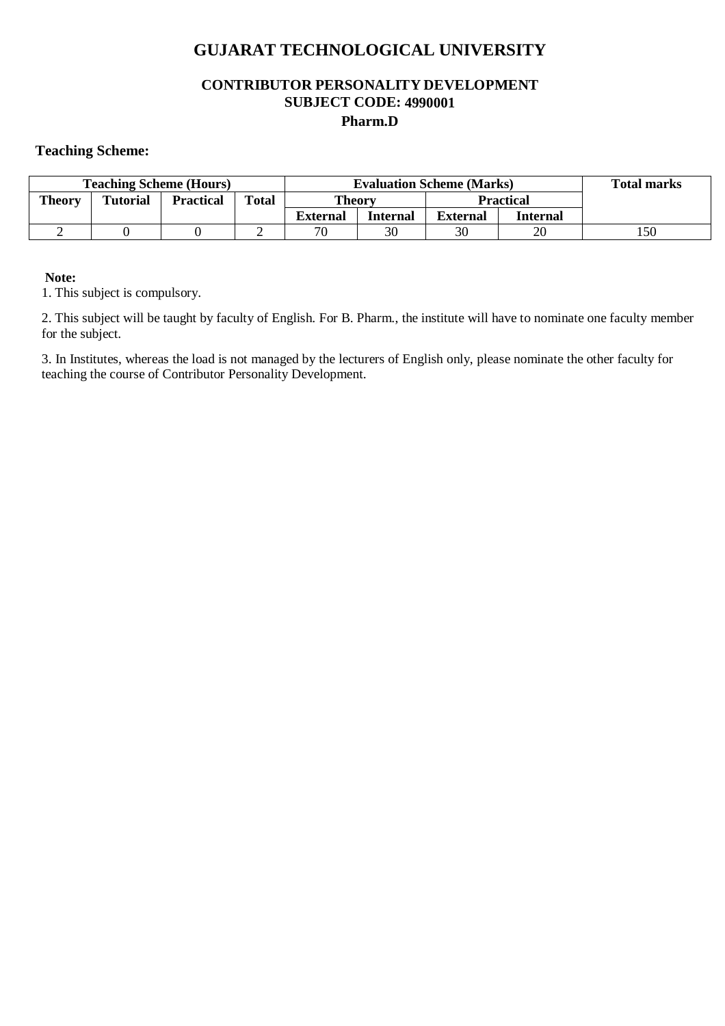### **GUJARAT TECHNOLOGICAL UNIVERSITY**

#### **CONTRIBUTOR PERSONALITY DEVELOPMENT SUBJECT CODE: 4990001 Pharm.D**

#### **Teaching Scheme:**

| <b>Teaching Scheme (Hours)</b> |                 |                  |              | <b>Evaluation Scheme (Marks)</b> |                 |                 |          | <b>Total marks</b> |
|--------------------------------|-----------------|------------------|--------------|----------------------------------|-----------------|-----------------|----------|--------------------|
| <b>Theory</b>                  | <b>Tutorial</b> | <b>Practical</b> | <b>Total</b> | <b>Theory</b>                    |                 | Practical       |          |                    |
|                                |                 |                  |              | <b>External</b>                  | <b>Internal</b> | <b>External</b> | Internal |                    |
|                                |                 |                  |              | 70                               | 30              | 30              | 20       | l 50               |

#### **Note:**

1. This subject is compulsory.

2. This subject will be taught by faculty of English. For B. Pharm., the institute will have to nominate one faculty member for the subject.

3. In Institutes, whereas the load is not managed by the lecturers of English only, please nominate the other faculty for teaching the course of Contributor Personality Development.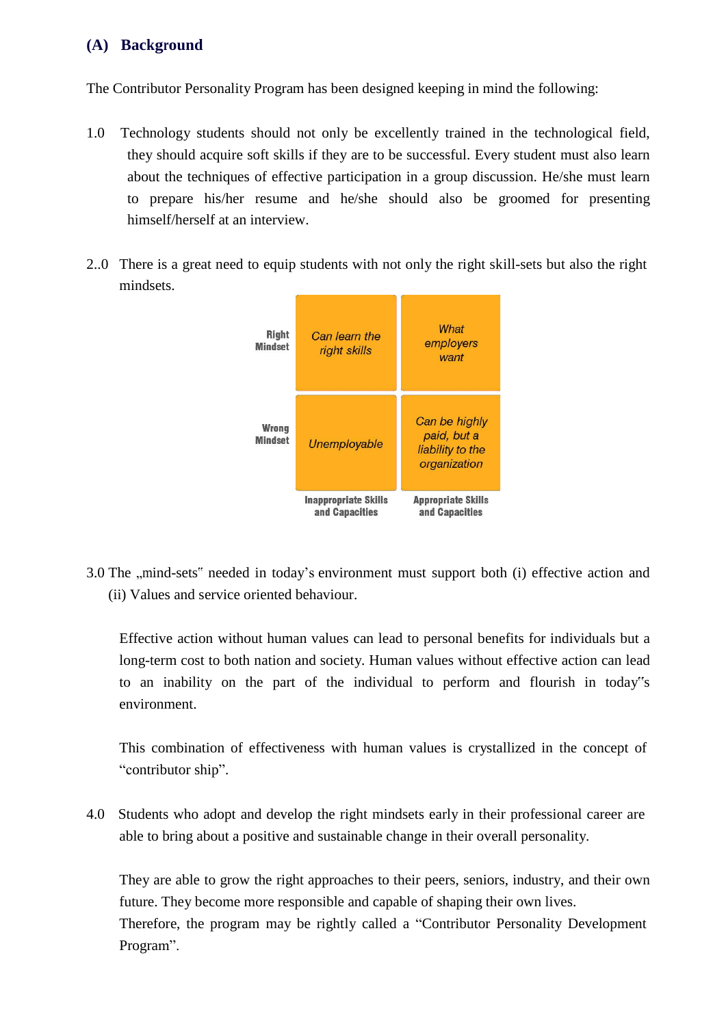#### **(A) Background**

The Contributor Personality Program has been designed keeping in mind the following:

- 1.0 Technology students should not only be excellently trained in the technological field, they should acquire soft skills if they are to be successful. Every student must also learn about the techniques of effective participation in a group discussion. He/she must learn to prepare his/her resume and he/she should also be groomed for presenting himself/herself at an interview.
- 2..0 There is a great need to equip students with not only the right skill-sets but also the right mindsets.



3.0 The "mind-sets" needed in today's environment must support both (i) effective action and (ii) Values and service oriented behaviour.

Effective action without human values can lead to personal benefits for individuals but a long-term cost to both nation and society. Human values without effective action can lead to an inability on the part of the individual to perform and flourish in today"s environment.

This combination of effectiveness with human values is crystallized in the concept of "contributor ship".

4.0 Students who adopt and develop the right mindsets early in their professional career are able to bring about a positive and sustainable change in their overall personality.

They are able to grow the right approaches to their peers, seniors, industry, and their own future. They become more responsible and capable of shaping their own lives. Therefore, the program may be rightly called a "Contributor Personality Development Program".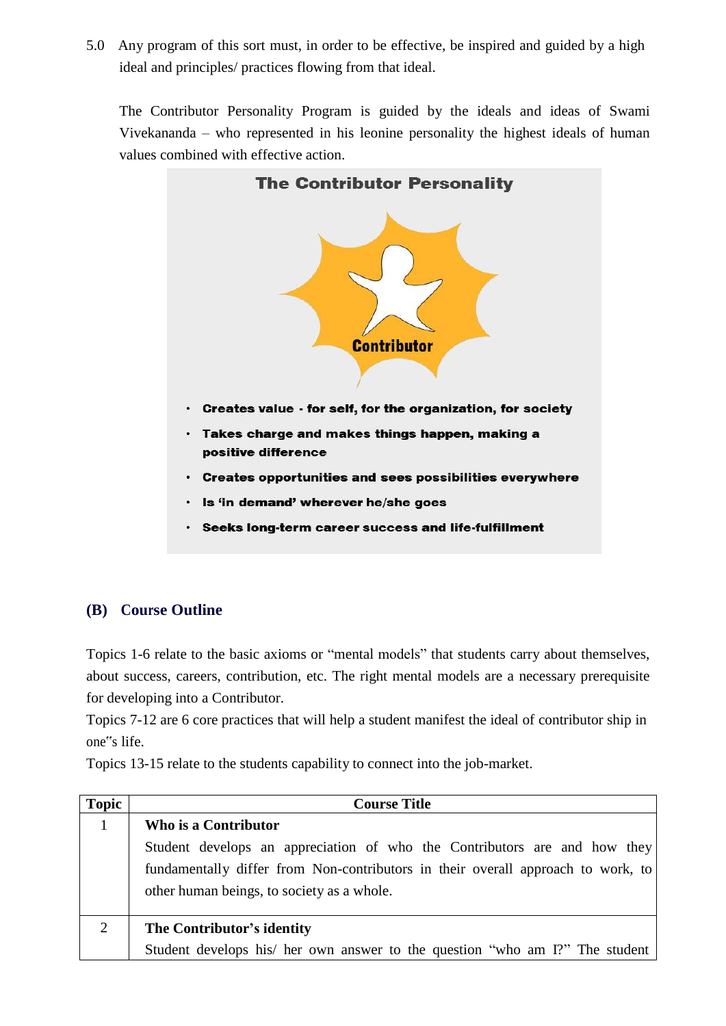5.0 Any program of this sort must, in order to be effective, be inspired and guided by a high ideal and principles/ practices flowing from that ideal.

The Contributor Personality Program is guided by the ideals and ideas of Swami Vivekananda – who represented in his leonine personality the highest ideals of human values combined with effective action.



#### **(B) Course Outline**

Topics 1-6 relate to the basic axioms or "mental models" that students carry about themselves, about success, careers, contribution, etc. The right mental models are a necessary prerequisite for developing into a Contributor.

Topics 7-12 are 6 core practices that will help a student manifest the ideal of contributor ship in one"s life.

Topics 13-15 relate to the students capability to connect into the job-market.

| <b>Topic</b>   | <b>Course Title</b>                                                              |
|----------------|----------------------------------------------------------------------------------|
|                | Who is a Contributor                                                             |
|                | Student develops an appreciation of who the Contributors are and how they        |
|                | fundamentally differ from Non-contributors in their overall approach to work, to |
|                | other human beings, to society as a whole.                                       |
|                |                                                                                  |
| $\overline{2}$ | The Contributor's identity                                                       |
|                | Student develops his/ her own answer to the question "who am I?" The student     |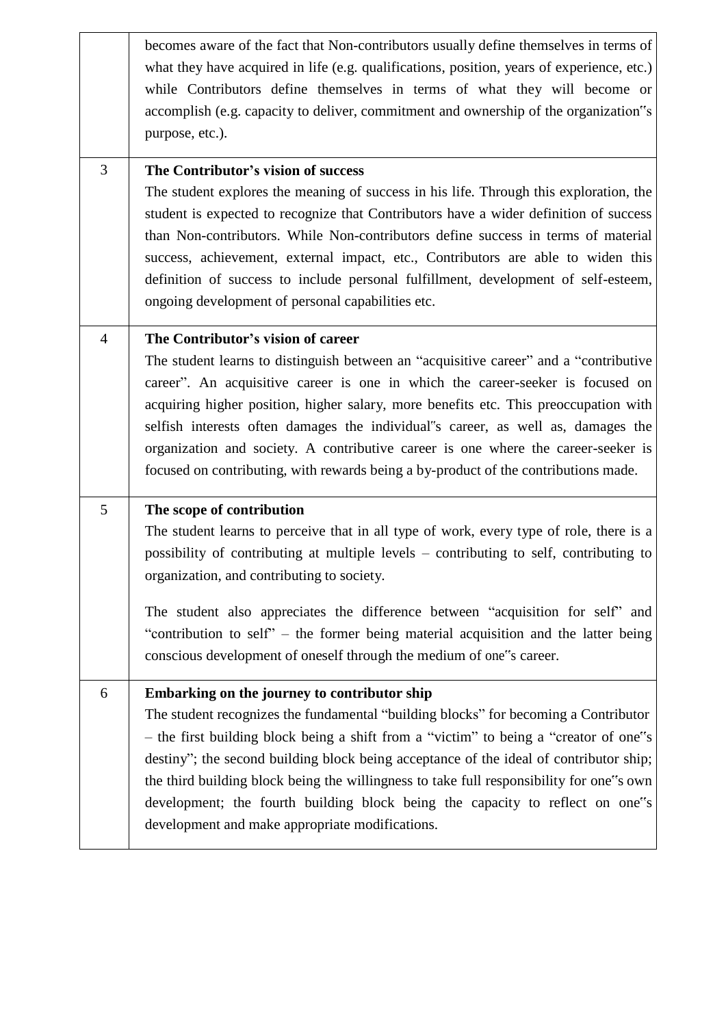becomes aware of the fact that Non-contributors usually define themselves in terms of what they have acquired in life (e.g. qualifications, position, years of experience, etc.) while Contributors define themselves in terms of what they will become or accomplish (e.g. capacity to deliver, commitment and ownership of the organization"s purpose, etc.).

3 **The Contributor's vision of success**

The student explores the meaning of success in his life. Through this exploration, the student is expected to recognize that Contributors have a wider definition of success than Non-contributors. While Non-contributors define success in terms of material success, achievement, external impact, etc., Contributors are able to widen this definition of success to include personal fulfillment, development of self-esteem, ongoing development of personal capabilities etc.

4 **The Contributor's vision of career**

The student learns to distinguish between an "acquisitive career" and a "contributive career". An acquisitive career is one in which the career-seeker is focused on acquiring higher position, higher salary, more benefits etc. This preoccupation with selfish interests often damages the individual"s career, as well as, damages the organization and society. A contributive career is one where the career-seeker is focused on contributing, with rewards being a by-product of the contributions made.

#### 5 **The scope of contribution**

The student learns to perceive that in all type of work, every type of role, there is a possibility of contributing at multiple levels – contributing to self, contributing to organization, and contributing to society.

The student also appreciates the difference between "acquisition for self" and "contribution to self" – the former being material acquisition and the latter being conscious development of oneself through the medium of one"s career.

6 **Embarking on the journey to contributor ship**

The student recognizes the fundamental "building blocks" for becoming a Contributor – the first building block being a shift from a "victim" to being a "creator of one"s destiny"; the second building block being acceptance of the ideal of contributor ship; the third building block being the willingness to take full responsibility for one"s own development; the fourth building block being the capacity to reflect on one"s development and make appropriate modifications.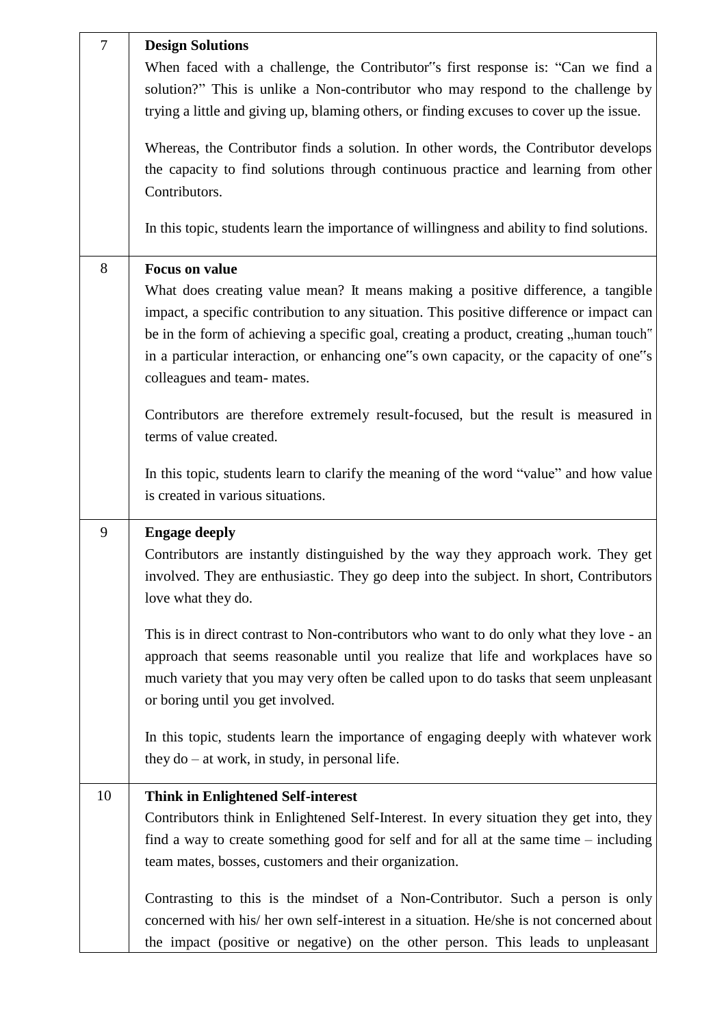| $\overline{7}$ | <b>Design Solutions</b>                                                                                                                                                                                                                                                                                                                                                                                                  |
|----------------|--------------------------------------------------------------------------------------------------------------------------------------------------------------------------------------------------------------------------------------------------------------------------------------------------------------------------------------------------------------------------------------------------------------------------|
|                | When faced with a challenge, the Contributor"s first response is: "Can we find a<br>solution?" This is unlike a Non-contributor who may respond to the challenge by<br>trying a little and giving up, blaming others, or finding excuses to cover up the issue.                                                                                                                                                          |
|                | Whereas, the Contributor finds a solution. In other words, the Contributor develops<br>the capacity to find solutions through continuous practice and learning from other<br>Contributors.                                                                                                                                                                                                                               |
|                | In this topic, students learn the importance of willingness and ability to find solutions.                                                                                                                                                                                                                                                                                                                               |
| 8              | <b>Focus on value</b><br>What does creating value mean? It means making a positive difference, a tangible<br>impact, a specific contribution to any situation. This positive difference or impact can<br>be in the form of achieving a specific goal, creating a product, creating, human touch"<br>in a particular interaction, or enhancing one"s own capacity, or the capacity of one"s<br>colleagues and team-mates. |
|                | Contributors are therefore extremely result-focused, but the result is measured in<br>terms of value created.                                                                                                                                                                                                                                                                                                            |
|                | In this topic, students learn to clarify the meaning of the word "value" and how value<br>is created in various situations.                                                                                                                                                                                                                                                                                              |
| 9              | <b>Engage deeply</b><br>Contributors are instantly distinguished by the way they approach work. They get<br>involved. They are enthusiastic. They go deep into the subject. In short, Contributors<br>love what they do.                                                                                                                                                                                                 |
|                | This is in direct contrast to Non-contributors who want to do only what they love - an<br>approach that seems reasonable until you realize that life and workplaces have so<br>much variety that you may very often be called upon to do tasks that seem unpleasant<br>or boring until you get involved.                                                                                                                 |
|                | In this topic, students learn the importance of engaging deeply with whatever work<br>they $do - at work$ , in study, in personal life.                                                                                                                                                                                                                                                                                  |
| 10             | <b>Think in Enlightened Self-interest</b>                                                                                                                                                                                                                                                                                                                                                                                |
|                | Contributors think in Enlightened Self-Interest. In every situation they get into, they<br>find a way to create something good for self and for all at the same time $-$ including<br>team mates, bosses, customers and their organization.                                                                                                                                                                              |
|                | Contrasting to this is the mindset of a Non-Contributor. Such a person is only<br>concerned with his/ her own self-interest in a situation. He/she is not concerned about<br>the impact (positive or negative) on the other person. This leads to unpleasant                                                                                                                                                             |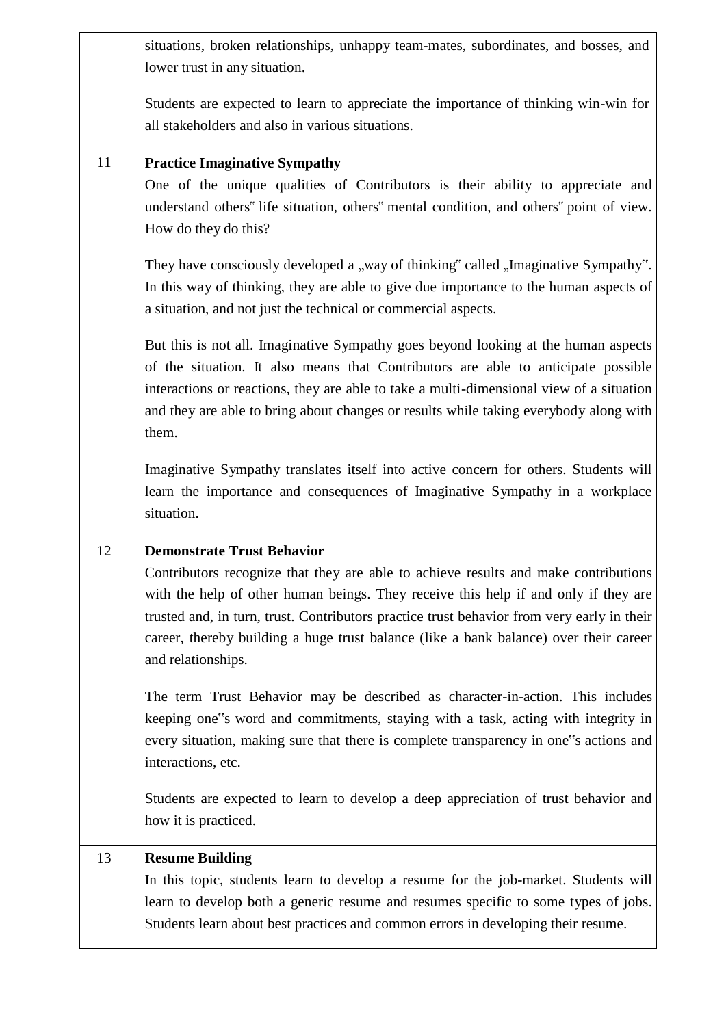|    | situations, broken relationships, unhappy team-mates, subordinates, and bosses, and                                                                                                                                                                                                                                                                                                                                          |
|----|------------------------------------------------------------------------------------------------------------------------------------------------------------------------------------------------------------------------------------------------------------------------------------------------------------------------------------------------------------------------------------------------------------------------------|
|    | lower trust in any situation.                                                                                                                                                                                                                                                                                                                                                                                                |
|    | Students are expected to learn to appreciate the importance of thinking win-win for                                                                                                                                                                                                                                                                                                                                          |
|    | all stakeholders and also in various situations.                                                                                                                                                                                                                                                                                                                                                                             |
|    |                                                                                                                                                                                                                                                                                                                                                                                                                              |
| 11 | <b>Practice Imaginative Sympathy</b><br>One of the unique qualities of Contributors is their ability to appreciate and<br>understand others" life situation, others" mental condition, and others" point of view.<br>How do they do this?                                                                                                                                                                                    |
|    | They have consciously developed a "way of thinking" called "Imaginative Sympathy".<br>In this way of thinking, they are able to give due importance to the human aspects of<br>a situation, and not just the technical or commercial aspects.                                                                                                                                                                                |
|    | But this is not all. Imaginative Sympathy goes beyond looking at the human aspects<br>of the situation. It also means that Contributors are able to anticipate possible<br>interactions or reactions, they are able to take a multi-dimensional view of a situation<br>and they are able to bring about changes or results while taking everybody along with<br>them.                                                        |
|    | Imaginative Sympathy translates itself into active concern for others. Students will<br>learn the importance and consequences of Imaginative Sympathy in a workplace<br>situation.                                                                                                                                                                                                                                           |
| 12 | <b>Demonstrate Trust Behavior</b><br>Contributors recognize that they are able to achieve results and make contributions<br>with the help of other human beings. They receive this help if and only if they are<br>trusted and, in turn, trust. Contributors practice trust behavior from very early in their<br>career, thereby building a huge trust balance (like a bank balance) over their career<br>and relationships. |
|    | The term Trust Behavior may be described as character-in-action. This includes<br>keeping one"s word and commitments, staying with a task, acting with integrity in<br>every situation, making sure that there is complete transparency in one"s actions and<br>interactions, etc.                                                                                                                                           |
|    | Students are expected to learn to develop a deep appreciation of trust behavior and<br>how it is practiced.                                                                                                                                                                                                                                                                                                                  |
| 13 | <b>Resume Building</b><br>In this topic, students learn to develop a resume for the job-market. Students will<br>learn to develop both a generic resume and resumes specific to some types of jobs.<br>Students learn about best practices and common errors in developing their resume.                                                                                                                                     |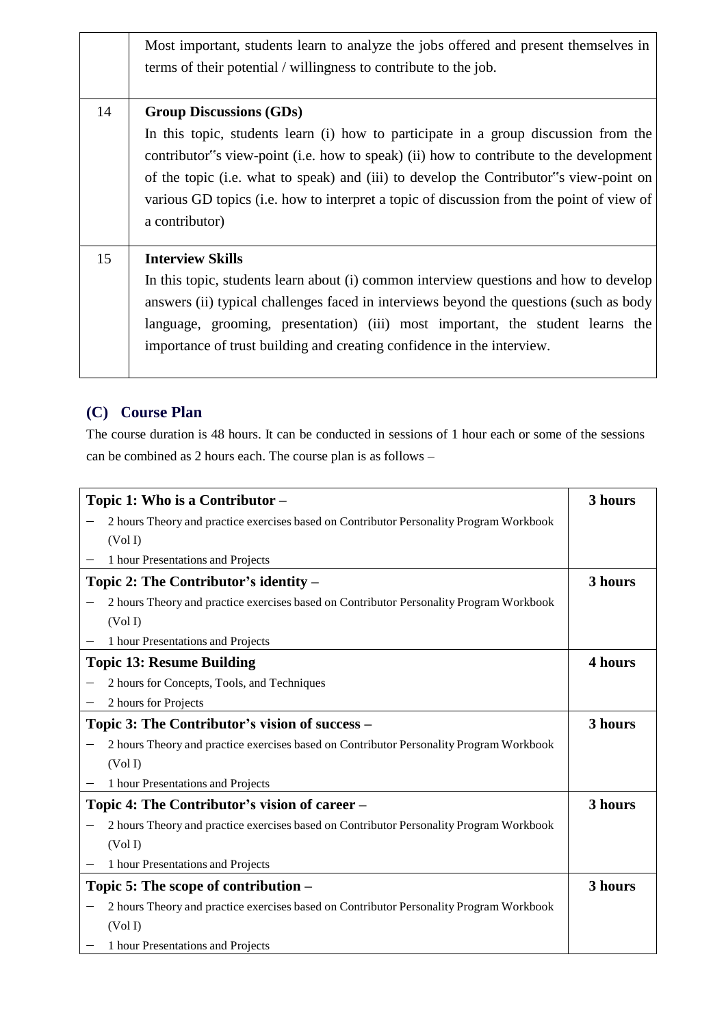|    | Most important, students learn to analyze the jobs offered and present themselves in<br>terms of their potential / willingness to contribute to the job.                                                                                                                                                                                                                                                                |
|----|-------------------------------------------------------------------------------------------------------------------------------------------------------------------------------------------------------------------------------------------------------------------------------------------------------------------------------------------------------------------------------------------------------------------------|
| 14 | <b>Group Discussions (GDs)</b><br>In this topic, students learn (i) how to participate in a group discussion from the<br>contributor s view-point (i.e. how to speak) (ii) how to contribute to the development<br>of the topic (i.e. what to speak) and (iii) to develop the Contributor s view-point on<br>various GD topics (i.e. how to interpret a topic of discussion from the point of view of<br>a contributor) |
| 15 | <b>Interview Skills</b><br>In this topic, students learn about (i) common interview questions and how to develop<br>answers (ii) typical challenges faced in interviews beyond the questions (such as body<br>language, grooming, presentation) (iii) most important, the student learns the<br>importance of trust building and creating confidence in the interview.                                                  |

#### **(C) Course Plan**

The course duration is 48 hours. It can be conducted in sessions of 1 hour each or some of the sessions can be combined as 2 hours each. The course plan is as follows –

|                          | Topic 1: Who is a Contributor -                                                         | 3 hours |
|--------------------------|-----------------------------------------------------------------------------------------|---------|
|                          | 2 hours Theory and practice exercises based on Contributor Personality Program Workbook |         |
|                          | (Vol I)                                                                                 |         |
|                          | 1 hour Presentations and Projects                                                       |         |
|                          | Topic 2: The Contributor's identity $-$                                                 | 3 hours |
|                          | 2 hours Theory and practice exercises based on Contributor Personality Program Workbook |         |
|                          | (Vol I)                                                                                 |         |
|                          | 1 hour Presentations and Projects                                                       |         |
|                          | <b>Topic 13: Resume Building</b>                                                        | 4 hours |
|                          | 2 hours for Concepts, Tools, and Techniques                                             |         |
| $\overline{\phantom{m}}$ | 2 hours for Projects                                                                    |         |
|                          | Topic 3: The Contributor's vision of success –                                          | 3 hours |
|                          | 2 hours Theory and practice exercises based on Contributor Personality Program Workbook |         |
|                          | (Vol I)                                                                                 |         |
|                          | 1 hour Presentations and Projects                                                       |         |
|                          | Topic 4: The Contributor's vision of career –                                           | 3 hours |
|                          | 2 hours Theory and practice exercises based on Contributor Personality Program Workbook |         |
|                          | (Vol I)                                                                                 |         |
|                          | 1 hour Presentations and Projects                                                       |         |
|                          | Topic 5: The scope of contribution –                                                    | 3 hours |
|                          | 2 hours Theory and practice exercises based on Contributor Personality Program Workbook |         |
|                          | (Vol I)                                                                                 |         |
|                          | 1 hour Presentations and Projects                                                       |         |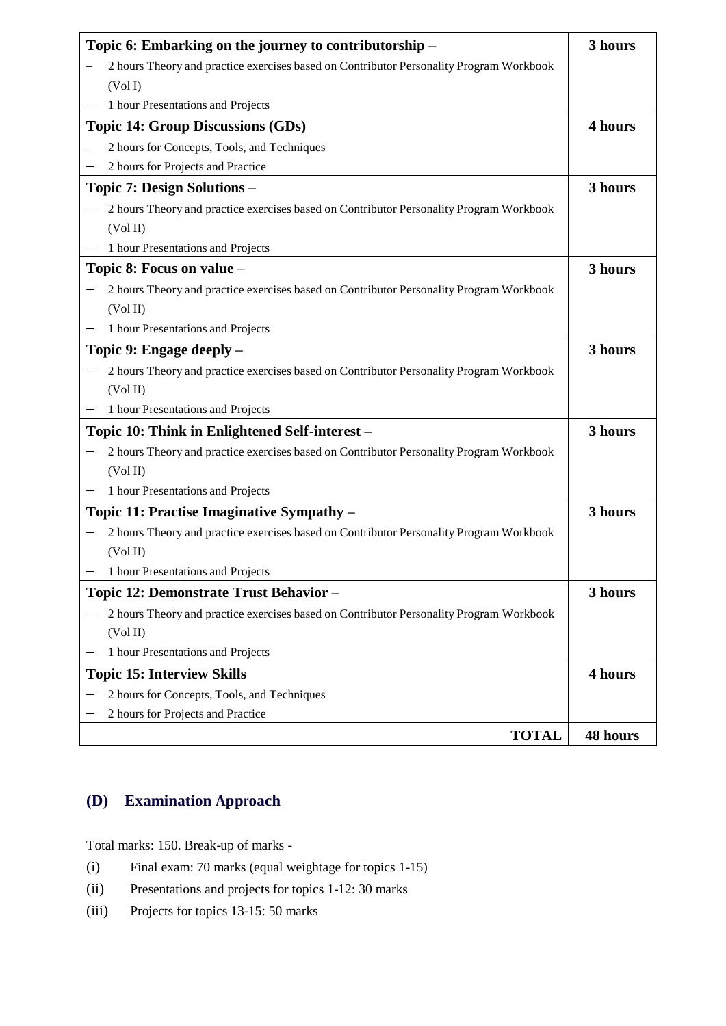| Topic 6: Embarking on the journey to contributorship -                                  | 3 hours  |
|-----------------------------------------------------------------------------------------|----------|
| 2 hours Theory and practice exercises based on Contributor Personality Program Workbook |          |
| (Vol I)                                                                                 |          |
| 1 hour Presentations and Projects                                                       |          |
| <b>Topic 14: Group Discussions (GDs)</b>                                                | 4 hours  |
| 2 hours for Concepts, Tools, and Techniques                                             |          |
| 2 hours for Projects and Practice                                                       |          |
| <b>Topic 7: Design Solutions –</b>                                                      | 3 hours  |
| 2 hours Theory and practice exercises based on Contributor Personality Program Workbook |          |
| (Vol II)                                                                                |          |
| 1 hour Presentations and Projects                                                       |          |
| Topic 8: Focus on value -                                                               | 3 hours  |
| 2 hours Theory and practice exercises based on Contributor Personality Program Workbook |          |
| (Vol II)                                                                                |          |
| 1 hour Presentations and Projects                                                       |          |
| Topic 9: Engage deeply –                                                                | 3 hours  |
| 2 hours Theory and practice exercises based on Contributor Personality Program Workbook |          |
| (Vol II)                                                                                |          |
| 1 hour Presentations and Projects                                                       |          |
| Topic 10: Think in Enlightened Self-interest -                                          | 3 hours  |
| 2 hours Theory and practice exercises based on Contributor Personality Program Workbook |          |
| (Vol II)                                                                                |          |
| 1 hour Presentations and Projects                                                       |          |
| Topic 11: Practise Imaginative Sympathy -                                               | 3 hours  |
| 2 hours Theory and practice exercises based on Contributor Personality Program Workbook |          |
| (Vol II)                                                                                |          |
| 1 hour Presentations and Projects                                                       |          |
| Topic 12: Demonstrate Trust Behavior -                                                  | 3 hours  |
| 2 hours Theory and practice exercises based on Contributor Personality Program Workbook |          |
| (Vol II)                                                                                |          |
| 1 hour Presentations and Projects                                                       |          |
| <b>Topic 15: Interview Skills</b>                                                       | 4 hours  |
| 2 hours for Concepts, Tools, and Techniques                                             |          |
| 2 hours for Projects and Practice                                                       |          |
| <b>TOTAL</b>                                                                            | 48 hours |

## **(D) Examination Approach**

Total marks: 150. Break-up of marks -

- (i) Final exam: 70 marks (equal weightage for topics 1-15)
- (ii) Presentations and projects for topics 1-12: 30 marks
- (iii) Projects for topics 13-15: 50 marks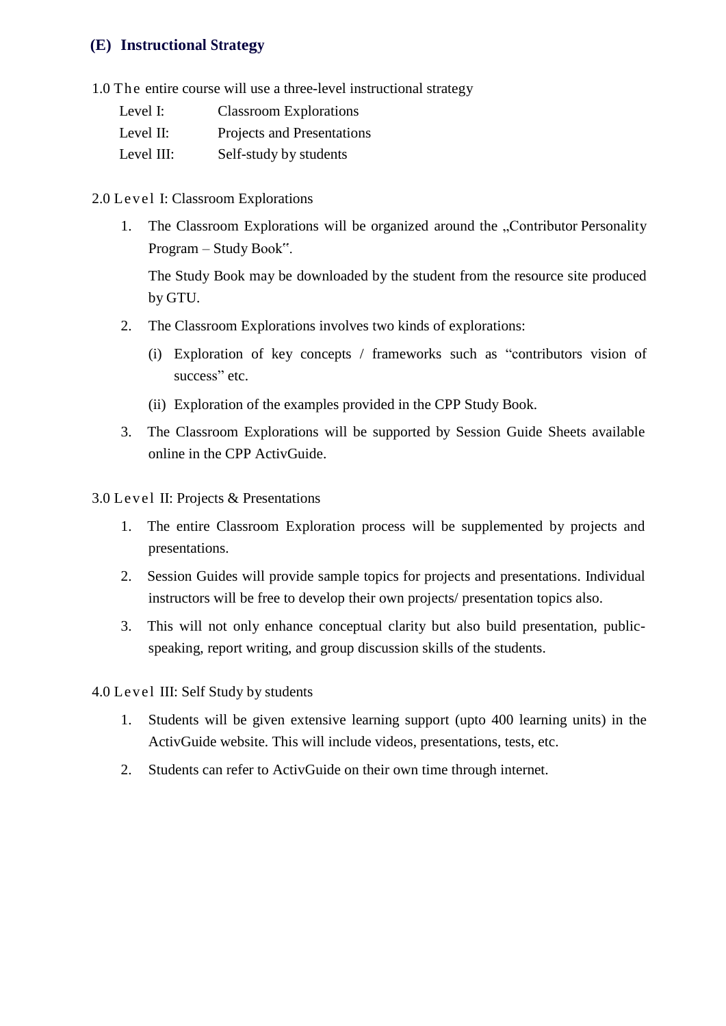#### **(E) Instructional Strategy**

1.0 The entire course will use a three-level instructional strategy

| Level I:   | <b>Classroom Explorations</b> |
|------------|-------------------------------|
| Level II:  | Projects and Presentations    |
| Level III: | Self-study by students        |

- 2.0 Level I: Classroom Explorations
	- 1. The Classroom Explorations will be organized around the "Contributor Personality Program – Study Book".

The Study Book may be downloaded by the student from the resource site produced by GTU.

- 2. The Classroom Explorations involves two kinds of explorations:
	- (i) Exploration of key concepts / frameworks such as "contributors vision of success" etc.
	- (ii) Exploration of the examples provided in the CPP Study Book.
- 3. The Classroom Explorations will be supported by Session Guide Sheets available online in the CPP ActivGuide.

3.0 Level II: Projects & Presentations

- 1. The entire Classroom Exploration process will be supplemented by projects and presentations.
- 2. Session Guides will provide sample topics for projects and presentations. Individual instructors will be free to develop their own projects/ presentation topics also.
- 3. This will not only enhance conceptual clarity but also build presentation, publicspeaking, report writing, and group discussion skills of the students.

4.0 Level III: Self Study by students

- 1. Students will be given extensive learning support (upto 400 learning units) in the ActivGuide website. This will include videos, presentations, tests, etc.
- 2. Students can refer to ActivGuide on their own time through internet.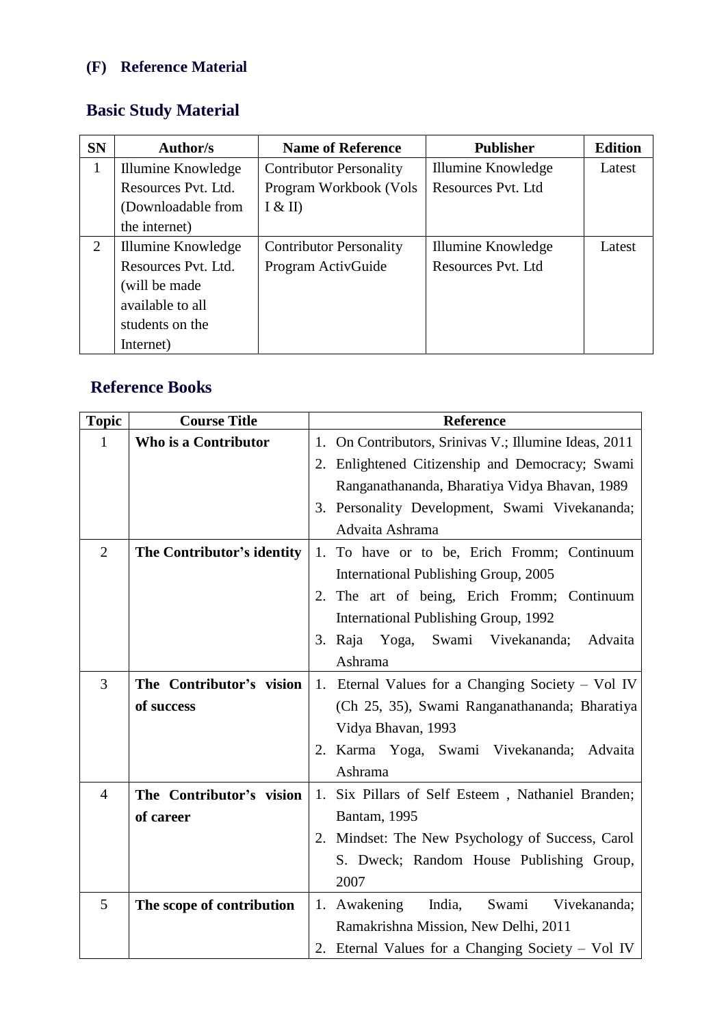# **(F) Reference Material**

# **Basic Study Material**

| <b>SN</b> | Author/s            | <b>Name of Reference</b>       | <b>Publisher</b>   | <b>Edition</b> |
|-----------|---------------------|--------------------------------|--------------------|----------------|
| 1         | Illumine Knowledge  | <b>Contributor Personality</b> | Illumine Knowledge | Latest         |
|           | Resources Pyt. Ltd. | Program Workbook (Vols         | Resources Pyt. Ltd |                |
|           | (Downloadable from  | I & II)                        |                    |                |
|           | the internet)       |                                |                    |                |
| 2         | Illumine Knowledge  | <b>Contributor Personality</b> | Illumine Knowledge | Latest         |
|           | Resources Pvt. Ltd. | Program ActivGuide             | Resources Pyt. Ltd |                |
|           | (will be made)      |                                |                    |                |
|           | available to all    |                                |                    |                |
|           | students on the     |                                |                    |                |
|           | Internet)           |                                |                    |                |

## **Reference Books**

| <b>Topic</b>   | <b>Course Title</b>        | <b>Reference</b>                                         |
|----------------|----------------------------|----------------------------------------------------------|
| 1              | Who is a Contributor       | On Contributors, Srinivas V.; Illumine Ideas, 2011<br>1. |
|                |                            | 2. Enlightened Citizenship and Democracy; Swami          |
|                |                            | Ranganathananda, Bharatiya Vidya Bhavan, 1989            |
|                |                            | 3. Personality Development, Swami Vivekananda;           |
|                |                            | Advaita Ashrama                                          |
| $\overline{2}$ | The Contributor's identity | 1. To have or to be, Erich Fromm; Continuum              |
|                |                            | International Publishing Group, 2005                     |
|                |                            | 2. The art of being, Erich Fromm; Continuum              |
|                |                            | International Publishing Group, 1992                     |
|                |                            | Yoga, Swami<br>3. Raja<br>Vivekananda;<br>Advaita        |
|                |                            | Ashrama                                                  |
| 3              | The Contributor's vision   | 1. Eternal Values for a Changing Society – Vol IV        |
|                | of success                 | (Ch 25, 35), Swami Ranganathananda; Bharatiya            |
|                |                            | Vidya Bhavan, 1993                                       |
|                |                            | 2. Karma Yoga, Swami Vivekananda;<br>Advaita             |
|                |                            | Ashrama                                                  |
| $\overline{4}$ | The Contributor's vision   | Six Pillars of Self Esteem, Nathaniel Branden;<br>1.     |
|                | of career                  | Bantam, 1995                                             |
|                |                            | 2. Mindset: The New Psychology of Success, Carol         |
|                |                            | S. Dweck; Random House Publishing Group,                 |
|                |                            | 2007                                                     |
| 5              | The scope of contribution  | India,<br>Swami<br>1. Awakening<br>Vivekananda;          |
|                |                            | Ramakrishna Mission, New Delhi, 2011                     |
|                |                            | 2. Eternal Values for a Changing Society – Vol IV        |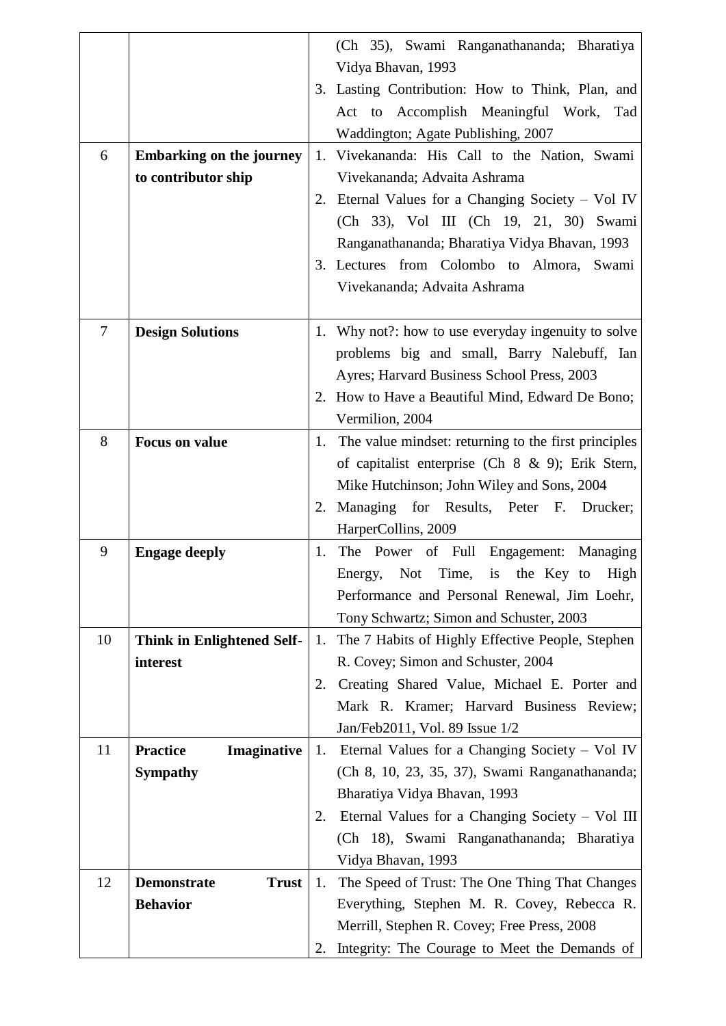|                |                                    |    | (Ch 35), Swami Ranganathananda; Bharatiya                                                      |
|----------------|------------------------------------|----|------------------------------------------------------------------------------------------------|
|                |                                    |    | Vidya Bhavan, 1993                                                                             |
|                |                                    |    | 3. Lasting Contribution: How to Think, Plan, and                                               |
|                |                                    |    | Act to Accomplish Meaningful Work,<br>Tad                                                      |
|                |                                    |    | Waddington; Agate Publishing, 2007                                                             |
| 6              | <b>Embarking on the journey</b>    | 1. | Vivekananda: His Call to the Nation, Swami                                                     |
|                | to contributor ship                |    | Vivekananda; Advaita Ashrama                                                                   |
|                |                                    | 2. | Eternal Values for a Changing Society – Vol IV                                                 |
|                |                                    |    | (Ch 33), Vol III (Ch 19, 21, 30) Swami                                                         |
|                |                                    |    | Ranganathananda; Bharatiya Vidya Bhavan, 1993                                                  |
|                |                                    |    | 3. Lectures from Colombo to Almora, Swami                                                      |
|                |                                    |    | Vivekananda; Advaita Ashrama                                                                   |
|                |                                    |    |                                                                                                |
| $\overline{7}$ | <b>Design Solutions</b>            | 1. | Why not?: how to use everyday ingenuity to solve                                               |
|                |                                    |    | problems big and small, Barry Nalebuff, Ian                                                    |
|                |                                    |    | Ayres; Harvard Business School Press, 2003<br>2. How to Have a Beautiful Mind, Edward De Bono; |
|                |                                    |    | Vermilion, 2004                                                                                |
| 8              | <b>Focus on value</b>              |    | 1. The value mindset: returning to the first principles                                        |
|                |                                    |    | of capitalist enterprise (Ch $8 \& 9$ ); Erik Stern,                                           |
|                |                                    |    | Mike Hutchinson; John Wiley and Sons, 2004                                                     |
|                |                                    | 2. | Managing for Results, Peter F. Drucker;                                                        |
|                |                                    |    | HarperCollins, 2009                                                                            |
| 9              | <b>Engage deeply</b>               | 1. | The Power of Full Engagement: Managing                                                         |
|                |                                    |    | Not Time,<br>the Key to<br>High<br>is<br>Energy,                                               |
|                |                                    |    | Performance and Personal Renewal, Jim Loehr,                                                   |
|                |                                    |    | Tony Schwartz; Simon and Schuster, 2003                                                        |
| 10             | Think in Enlightened Self-         | 1. | The 7 Habits of Highly Effective People, Stephen                                               |
|                | interest                           |    | R. Covey; Simon and Schuster, 2004                                                             |
|                |                                    | 2. | Creating Shared Value, Michael E. Porter and                                                   |
|                |                                    |    | Mark R. Kramer; Harvard Business Review;                                                       |
|                |                                    |    | Jan/Feb2011, Vol. 89 Issue 1/2                                                                 |
| 11             | <b>Practice</b><br>Imaginative     | 1. | Eternal Values for a Changing Society – Vol IV                                                 |
|                | <b>Sympathy</b>                    |    | (Ch 8, 10, 23, 35, 37), Swami Ranganathananda;                                                 |
|                |                                    |    | Bharatiya Vidya Bhavan, 1993                                                                   |
|                |                                    | 2. | Eternal Values for a Changing Society – Vol III                                                |
|                |                                    |    | (Ch 18), Swami Ranganathananda; Bharatiya                                                      |
|                |                                    |    | Vidya Bhavan, 1993                                                                             |
| 12             | <b>Trust</b><br><b>Demonstrate</b> | 1. | The Speed of Trust: The One Thing That Changes                                                 |
|                | <b>Behavior</b>                    |    | Everything, Stephen M. R. Covey, Rebecca R.                                                    |
|                |                                    |    | Merrill, Stephen R. Covey; Free Press, 2008                                                    |
|                |                                    | 2. | Integrity: The Courage to Meet the Demands of                                                  |